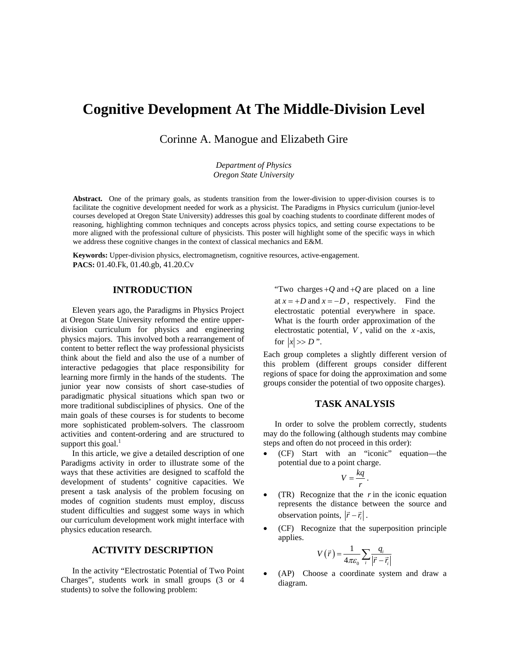# **Cognitive Development At The Middle-Division Level**

Corinne A. Manogue and Elizabeth Gire

*Department of Physics Oregon State University* 

**Abstract.** One of the primary goals, as students transition from the lower-division to upper-division courses is to facilitate the cognitive development needed for work as a physicist. The Paradigms in Physics curriculum (junior-level courses developed at Oregon State University) addresses this goal by coaching students to coordinate different modes of reasoning, highlighting common techniques and concepts across physics topics, and setting course expectations to be more aligned with the professional culture of physicists. This poster will highlight some of the specific ways in which we address these cognitive changes in the context of classical mechanics and E&M.

**Keywords:** Upper-division physics, electromagnetism, cognitive resources, active-engagement. **PACS:** 01.40.Fk, 01.40.gb, 41.20.Cv

#### **INTRODUCTION**

Eleven years ago, the Paradigms in Physics Project at Oregon State University reformed the entire upperdivision curriculum for physics and engineering physics majors. This involved both a rearrangement of content to better reflect the way professional physicists think about the field and also the use of a number of interactive pedagogies that place responsibility for learning more firmly in the hands of the students. The junior year now consists of short case-studies of paradigmatic physical situations which span two or more traditional subdisciplines of physics. One of the main goals of these courses is for students to become more sophisticated problem-solvers. The classroom activities and content-ordering and are structured to support this goal. $<sup>1</sup>$ </sup>

In this article, we give a detailed description of one Paradigms activity in order to illustrate some of the ways that these activities are designed to scaffold the development of students' cognitive capacities. We present a task analysis of the problem focusing on modes of cognition students must employ, discuss student difficulties and suggest some ways in which our curriculum development work might interface with physics education research.

#### **ACTIVITY DESCRIPTION**

In the activity "Electrostatic Potential of Two Point Charges", students work in small groups (3 or 4 students) to solve the following problem:

"Two charges  $+Q$  and  $+Q$  are placed on a line" at  $x = +D$  and  $x = -D$ , respectively. Find the electrostatic potential everywhere in space. What is the fourth order approximation of the electrostatic potential, *V* , valid on the *x* -axis, for  $|x| \gg D$ ".

Each group completes a slightly different version of this problem (different groups consider different regions of space for doing the approximation and some groups consider the potential of two opposite charges).

#### **TASK ANALYSIS**

In order to solve the problem correctly, students may do the following (although students may combine steps and often do not proceed in this order):

 (CF) Start with an "iconic" equation—the potential due to a point charge.

$$
V=\frac{kq}{r}.
$$

- (TR) Recognize that the *r* in the iconic equation represents the distance between the source and observation points,  $|\vec{r} - \vec{r}_i|$ .
- (CF) Recognize that the superposition principle applies.

$$
V(\vec{r}) = \frac{1}{4\pi\epsilon_0} \sum_i \frac{q_i}{|\vec{r} - \vec{r}_i|}
$$

 (AP) Choose a coordinate system and draw a diagram.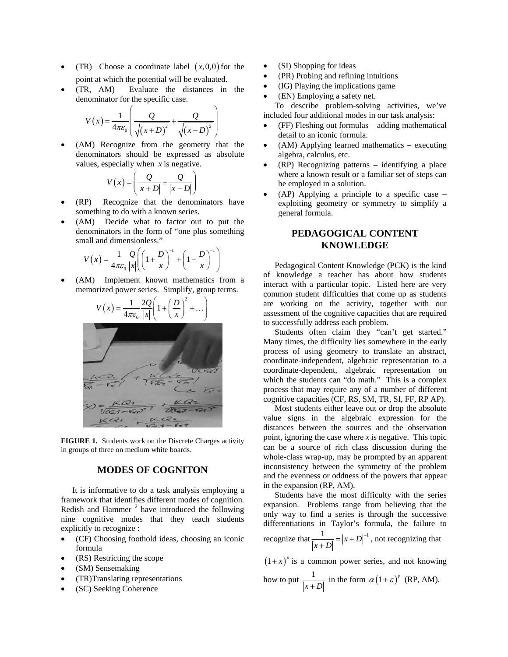- (TR) Choose a coordinate label  $(x,0,0)$  for the point at which the potential will be evaluated.
- (TR, AM) Evaluate the distances in the denominator for the specific case.

$$
V(x) = \frac{1}{4\pi\varepsilon_0} \left( \frac{Q}{\sqrt{(x+D)^2}} + \frac{Q}{\sqrt{(x-D)^2}} \right)
$$

 (AM) Recognize from the geometry that the denominators should be expressed as absolute values, especially when *x* is negative.

$$
V(x) = \left(\frac{Q}{|x+D|} + \frac{Q}{|x-D|}\right)
$$

- (RP) Recognize that the denominators have something to do with a known series.
- (AM) Decide what to factor out to put the denominators in the form of "one plus something small and dimensionless."

$$
V(x) = \frac{1}{4\pi\varepsilon_0} \frac{Q}{|x|} \left( \left( 1 + \frac{D}{x} \right)^{-1} + \left( 1 - \frac{D}{x} \right)^{-1} \right)
$$

 (AM) Implement known mathematics from a memorized power series. Simplify, group terms.



**FIGURE 1.** Students work on the Discrete Charges activity in groups of three on medium white boards.

## **MODES OF COGNITON**

It is informative to do a task analysis employing a framework that identifies different modes of cognition. Redish and Hammer<sup>2</sup> have introduced the following nine cognitive modes that they teach students explicitly to recognize :

- (CF) Choosing foothold ideas, choosing an iconic formula
- (RS) Restricting the scope
- (SM) Sensemaking
- (TR)Translating representations
- (SC) Seeking Coherence
- (SI) Shopping for ideas
- (PR) Probing and refining intuitions
- (IG) Playing the implications game
- (EN) Employing a safety net. To describe problem-solving activities, we've included four additional modes in our task analysis:
- (FF) Fleshing out formulas adding mathematical detail to an iconic formula.
- (AM) Applying learned mathematics executing algebra, calculus, etc.
- (RP) Recognizing patterns identifying a place where a known result or a familiar set of steps can be employed in a solution.
- (AP) Applying a principle to a specific case exploiting geometry or symmetry to simplify a general formula.

# **PEDAGOGICAL CONTENT KNOWLEDGE**

Pedagogical Content Knowledge (PCK) is the kind of knowledge a teacher has about how students interact with a particular topic. Listed here are very common student difficulties that come up as students are working on the activity, together with our assessment of the cognitive capacities that are required to successfully address each problem.

Students often claim they "can't get started." Many times, the difficulty lies somewhere in the early process of using geometry to translate an abstract, coordinate-independent, algebraic representation to a coordinate-dependent, algebraic representation on which the students can "do math." This is a complex process that may require any of a number of different cognitive capacities (CF, RS, SM, TR, SI, FF, RP AP).

Most students either leave out or drop the absolute value signs in the algebraic expression for the distances between the sources and the observation point, ignoring the case where  $x$  is negative. This topic can be a source of rich class discussion during the whole-class wrap-up, may be prompted by an apparent inconsistency between the symmetry of the problem and the evenness or oddness of the powers that appear in the expansion (RP, AM).

Students have the most difficulty with the series expansion. Problems range from believing that the only way to find a series is through the successive differentiations in Taylor's formula, the failure to

recognize that 
$$
\frac{1}{|x+D|} = |x+D|^{-1}
$$
, not recognizing that

 $(1+x)^p$  is a common power series, and not knowing

how to put  $\frac{1}{|x+D|}$  in the form  $\alpha(1+\varepsilon)^p$  (RP, AM).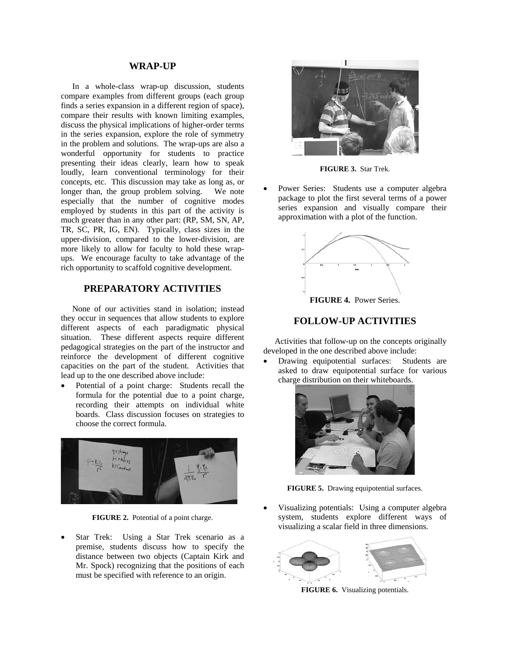#### **WRAP-UP**

In a whole-class wrap-up discussion, students compare examples from different groups (each group finds a series expansion in a different region of space), compare their results with known limiting examples, discuss the physical implications of higher-order terms in the series expansion, explore the role of symmetry in the problem and solutions. The wrap-ups are also a wonderful opportunity for students to practice presenting their ideas clearly, learn how to speak loudly, learn conventional terminology for their concepts, etc. This discussion may take as long as, or longer than, the group problem solving. We note especially that the number of cognitive modes employed by students in this part of the activity is much greater than in any other part: (RP, SM, SN, AP, TR, SC, PR, IG, EN). Typically, class sizes in the upper-division, compared to the lower-division, are more likely to allow for faculty to hold these wrapups. We encourage faculty to take advantage of the rich opportunity to scaffold cognitive development.

# **PREPARATORY ACTIVITIES**

None of our activities stand in isolation; instead they occur in sequences that allow students to explore different aspects of each paradigmatic physical situation. These different aspects require different pedagogical strategies on the part of the instructor and reinforce the development of different cognitive capacities on the part of the student. Activities that lead up to the one described above include:

 Potential of a point charge: Students recall the formula for the potential due to a point charge, recording their attempts on individual white boards. Class discussion focuses on strategies to choose the correct formula.



**FIGURE 2.** Potential of a point charge.

 Star Trek: Using a Star Trek scenario as a premise, students discuss how to specify the distance between two objects (Captain Kirk and Mr. Spock) recognizing that the positions of each must be specified with reference to an origin.



**FIGURE 3.** Star Trek.

 Power Series: Students use a computer algebra package to plot the first several terms of a power series expansion and visually compare their approximation with a plot of the function.



**FIGURE 4.** Power Series.

## **FOLLOW-UP ACTIVITIES**

Activities that follow-up on the concepts originally developed in the one described above include:

 Drawing equipotential surfaces: Students are asked to draw equipotential surface for various charge distribution on their whiteboards.



**FIGURE 5.** Drawing equipotential surfaces.

 Visualizing potentials: Using a computer algebra system, students explore different ways of visualizing a scalar field in three dimensions.



**FIGURE 6.** Visualizing potentials.